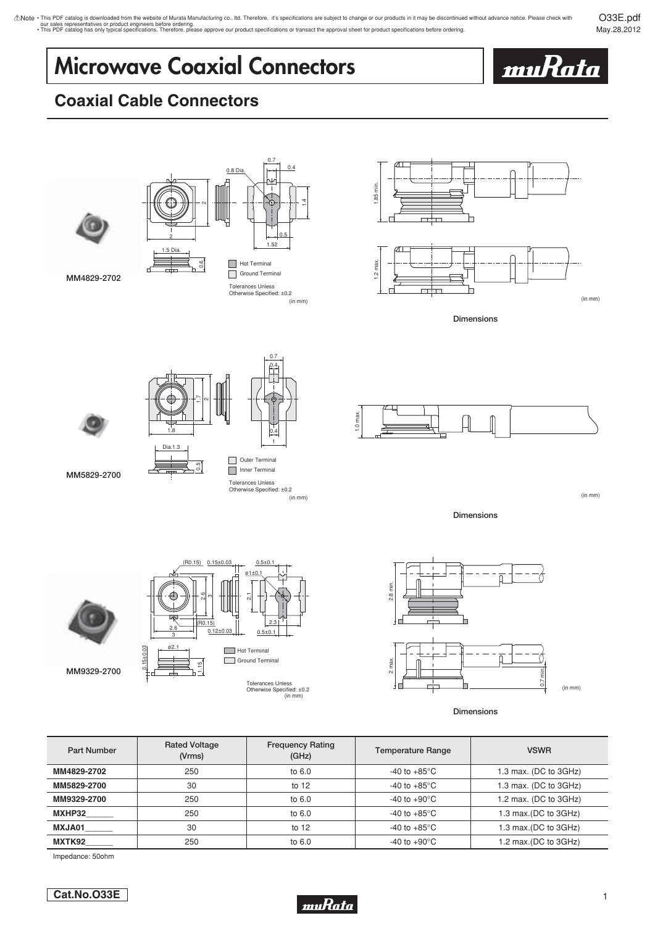O33E.pdf May.28,2012

# **Microwave Coaxial Connectors**



## **Coaxial Cable Connectors**



Impedance: 50ohm

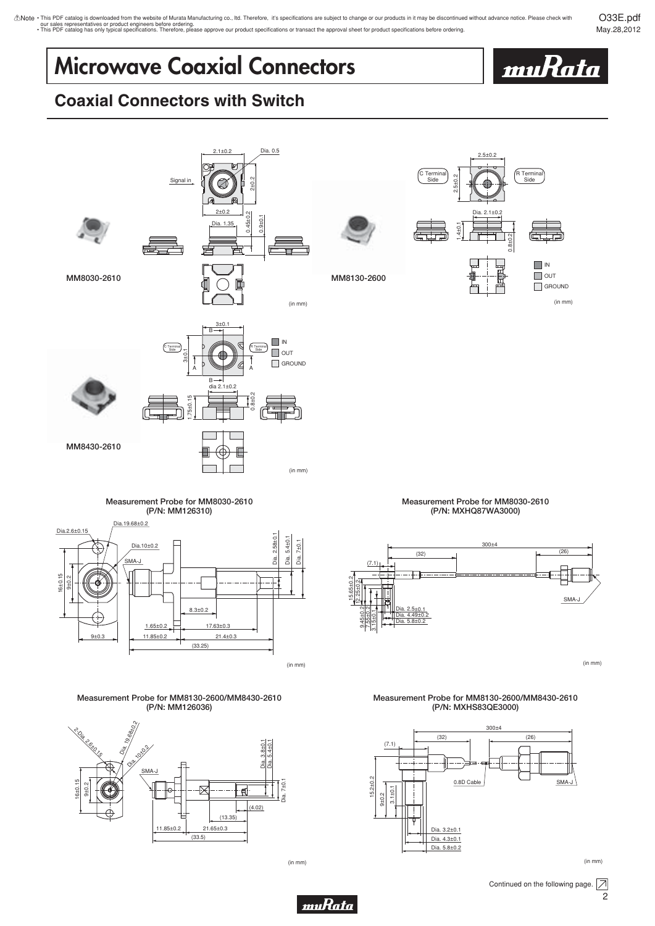O33E.pdf May.28,2012

## **Microwave Coaxial Connectors**



## **Coaxial Connectors with Switch**





(in mm)

11.85±0.2 21.65±0.3

(33.5)

(13.35)

Dia. 3.2±0.1 Dia. 4.3±0.1 Dia. 5.8±0.2